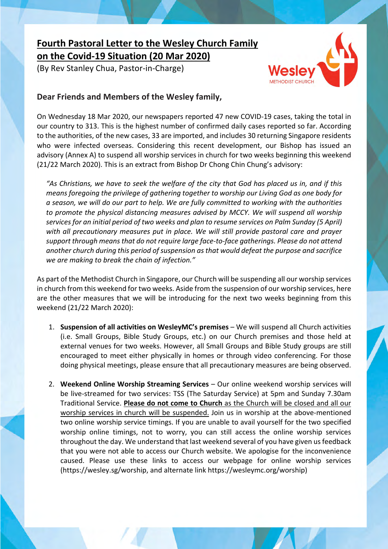## **Fourth Pastoral Letter to the Wesley Church Family on the Covid-19 Situation (20 Mar 2020)**

(By Rev Stanley Chua, Pastor-in-Charge)



## **Dear Friends and Members of the Wesley family,**

On Wednesday 18 Mar 2020, our newspapers reported 47 new COVID-19 cases, taking the total in our country to 313. This is the highest number of confirmed daily cases reported so far. According to the authorities, of the new cases, 33 are imported, and includes 30 returning Singapore residents who were infected overseas. Considering this recent development, our Bishop has issued an advisory (Annex A) to suspend all worship services in church for two weeks beginning this weekend (21/22 March 2020). This is an extract from Bishop Dr Chong Chin Chung's advisory:

*"As Christians, we have to seek the welfare of the city that God has placed us in, and if this means foregoing the privilege of gathering together to worship our Living God as one body for a season, we will do our part to help. We are fully committed to working with the authorities to promote the physical distancing measures advised by MCCY. We will suspend all worship services for an initial period of two weeks and plan to resume services on Palm Sunday (5 April) with all precautionary measures put in place. We will still provide pastoral care and prayer support through means that do not require large face-to-face gatherings. Please do not attend another church during this period of suspension as that would defeat the purpose and sacrifice we are making to break the chain of infection."* 

As part of the Methodist Church in Singapore, our Church will be suspending all our worship services in church from this weekend for two weeks. Aside from the suspension of our worship services, here are the other measures that we will be introducing for the next two weeks beginning from this weekend (21/22 March 2020):

- 1. **Suspension of all activities on WesleyMC's premises** We will suspend all Church activities (i.e. Small Groups, Bible Study Groups, etc.) on our Church premises and those held at external venues for two weeks. However, all Small Groups and Bible Study groups are still encouraged to meet either physically in homes or through video conferencing. For those doing physical meetings, please ensure that all precautionary measures are being observed.
- 2. **Weekend Online Worship Streaming Services** Our online weekend worship services will be live-streamed for two services: TSS (The Saturday Service) at 5pm and Sunday 7.30am Traditional Service. **Please do not come to Church** as the Church will be closed and all our worship services in church will be suspended. Join us in worship at the above-mentioned two online worship service timings. If you are unable to avail yourself for the two specified worship online timings, not to worry, you can still access the online worship services throughout the day. We understand that last weekend several of you have given us feedback that you were not able to access our Church website. We apologise for the inconvenience caused. Please use these links to access our webpage for online worship services (https://wesley.sg/worship, and alternate link https://wesleymc.org/worship)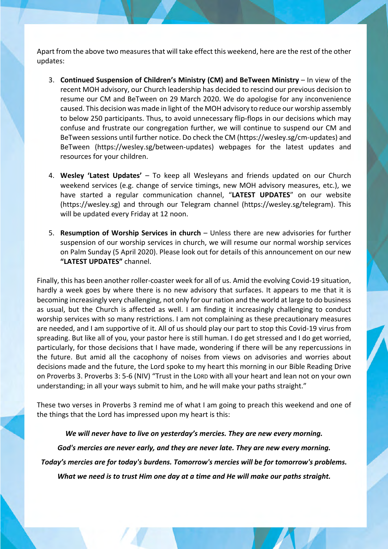Apart from the above two measures that will take effect this weekend, here are the rest of the other updates:

- 3. **Continued Suspension of Children's Ministry (CM) and BeTween Ministry** In view of the recent MOH advisory, our Church leadership has decided to rescind our previous decision to resume our CM and BeTween on 29 March 2020. We do apologise for any inconvenience caused. This decision was made in light of the MOH advisory to reduce our worship assembly to below 250 participants. Thus, to avoid unnecessary flip-flops in our decisions which may confuse and frustrate our congregation further, we will continue to suspend our CM and BeTween sessions until further notice. Do check the CM (https://wesley.sg/cm-updates) and BeTween (https://wesley.sg/between-updates) webpages for the latest updates and resources for your children.
- 4. **Wesley 'Latest Updates'** To keep all Wesleyans and friends updated on our Church weekend services (e.g. change of service timings, new MOH advisory measures, etc.), we have started a regular communication channel, "**LATEST UPDATES**" on our website (https://wesley.sg) and through our Telegram channel (https://wesley.sg/telegram). This will be updated every Friday at 12 noon.
- 5. **Resumption of Worship Services in church** Unless there are new advisories for further suspension of our worship services in church, we will resume our normal worship services on Palm Sunday (5 April 2020). Please look out for details of this announcement on our new **"LATEST UPDATES"** channel.

Finally, this has been another roller-coaster week for all of us. Amid the evolving Covid-19 situation, hardly a week goes by where there is no new advisory that surfaces. It appears to me that it is becoming increasingly very challenging, not only for our nation and the world at large to do business as usual, but the Church is affected as well. I am finding it increasingly challenging to conduct worship services with so many restrictions. I am not complaining as these precautionary measures are needed, and I am supportive of it. All of us should play our part to stop this Covid-19 virus from spreading. But like all of you, your pastor here is still human. I do get stressed and I do get worried, particularly, for those decisions that I have made, wondering if there will be any repercussions in the future. But amid all the cacophony of noises from views on advisories and worries about decisions made and the future, the Lord spoke to my heart this morning in our Bible Reading Drive on Proverbs 3. Proverbs 3: 5-6 (NIV) "Trust in the LORD with all your heart and lean not on your own understanding; in all your ways submit to him, and he will make your paths straight."

These two verses in Proverbs 3 remind me of what I am going to preach this weekend and one of the things that the Lord has impressed upon my heart is this:

*We will never have to live on yesterday's mercies. They are new every morning.*

*God's mercies are never early, and they are never late. They are new every morning.*

*Today's mercies are for today's burdens. Tomorrow's mercies will be for tomorrow's problems.*

*What we need is to trust Him one day at a time and He will make our paths straight.*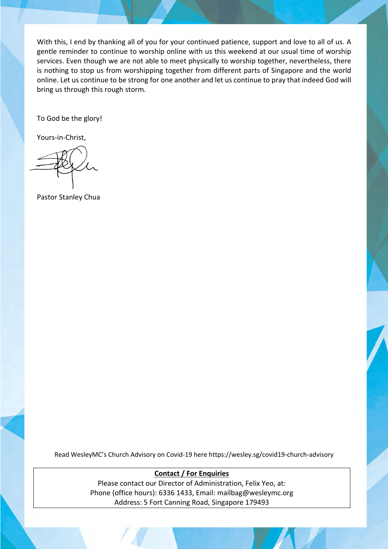With this, I end by thanking all of you for your continued patience, support and love to all of us. A gentle reminder to continue to worship online with us this weekend at our usual time of worship services. Even though we are not able to meet physically to worship together, nevertheless, there is nothing to stop us from worshipping together from different parts of Singapore and the world online. Let us continue to be strong for one another and let us continue to pray that indeed God will bring us through this rough storm.

To God be the glory!

Yours-in-Christ,

Pastor Stanley Chua

Read WesleyMC's Church Advisory on Covid-19 here https://wesley.sg/covid19-church-advisory

**Contact / For Enquiries** Please contact our Director of Administration, Felix Yeo, at: Phone (office hours): 6336 1433, Email: mailbag@wesleymc.org Address: 5 Fort Canning Road, Singapore 179493